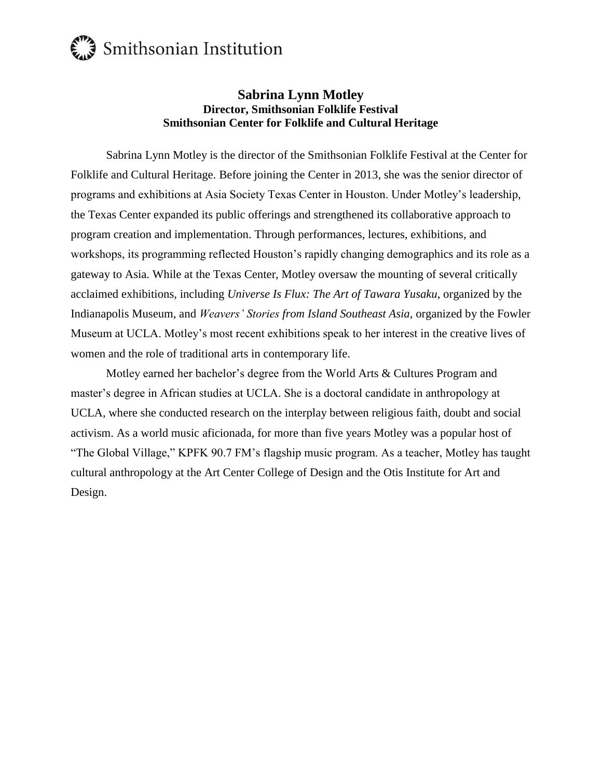## Smithsonian Institution

## **Sabrina Lynn Motley Director, Smithsonian Folklife Festival Smithsonian Center for Folklife and Cultural Heritage**

Sabrina Lynn Motley is the director of the Smithsonian Folklife Festival at the Center for Folklife and Cultural Heritage. Before joining the Center in 2013, she was the senior director of programs and exhibitions at Asia Society Texas Center in Houston. Under Motley's leadership, the Texas Center expanded its public offerings and strengthened its collaborative approach to program creation and implementation. Through performances, lectures, exhibitions, and workshops, its programming reflected Houston's rapidly changing demographics and its role as a gateway to Asia. While at the Texas Center, Motley oversaw the mounting of several critically acclaimed exhibitions, including *Universe Is Flux: The Art of Tawara Yusaku*, organized by the Indianapolis Museum, and *Weavers' Stories from Island Southeast Asia*, organized by the Fowler Museum at UCLA. Motley's most recent exhibitions speak to her interest in the creative lives of women and the role of traditional arts in contemporary life.

Motley earned her bachelor's degree from the World Arts & Cultures Program and master's degree in African studies at UCLA. She is a doctoral candidate in anthropology at UCLA, where she conducted research on the interplay between religious faith, doubt and social activism. As a world music aficionada, for more than five years Motley was a popular host of "The Global Village," KPFK 90.7 FM's flagship music program. As a teacher, Motley has taught cultural anthropology at the Art Center College of Design and the Otis Institute for Art and Design.